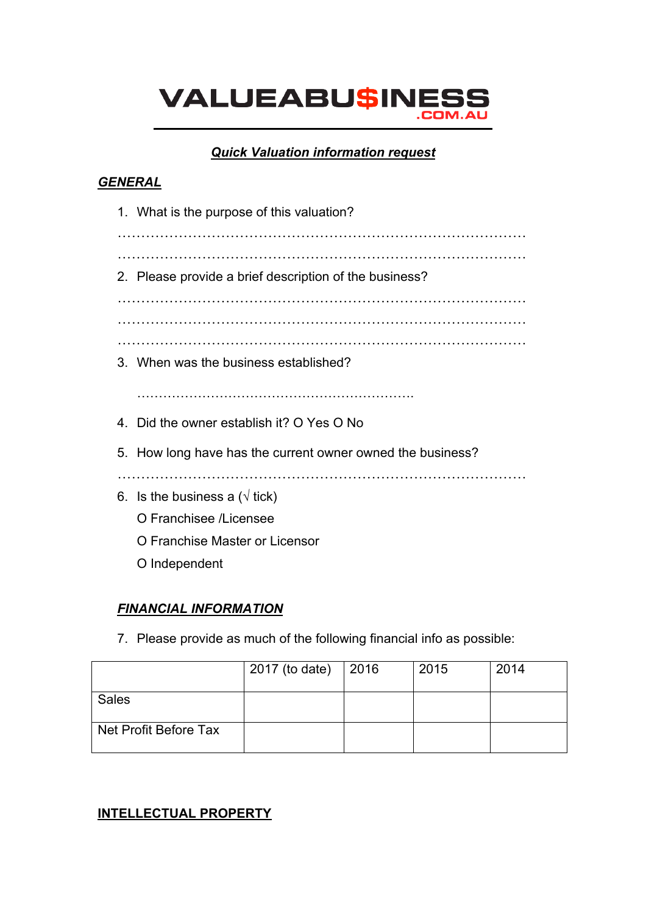# **VALUEABU\$INES**

#### *Quick Valuation information request*

#### *GENERAL*

1. What is the purpose of this valuation? …………………………………………………………………………… …………………………………………………………………………… 2. Please provide a brief description of the business? …………………………………………………………………………… …………………………………………………………………………… …………………………………………………………………………… 3. When was the business established? …………………………………………………………………………… 4. Did the owner establish it? O Yes O No 5. How long have has the current owner owned the business? …………………………………………………………………………… 6. Is the business a ( $\sqrt{ }$  tick) O Franchisee /Licensee O Franchise Master or Licensor O Independent

## *FINANCIAL INFORMATION*

7. Please provide as much of the following financial info as possible:

|                       | 2017 (to date) | $\vert$ 2016 | 2015 | 2014 |
|-----------------------|----------------|--------------|------|------|
| <b>Sales</b>          |                |              |      |      |
| Net Profit Before Tax |                |              |      |      |

#### **INTELLECTUAL PROPERTY**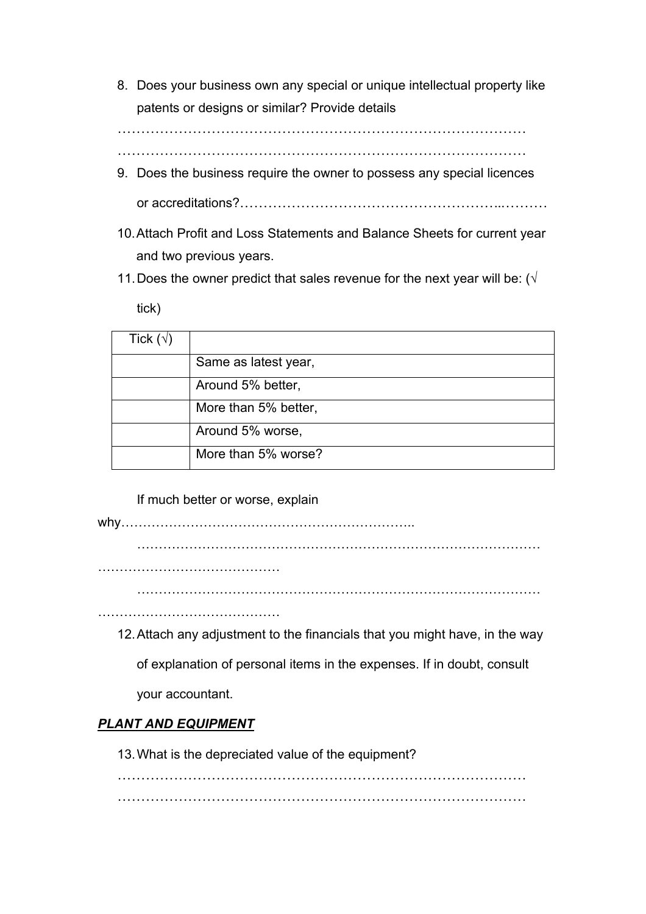8. Does your business own any special or unique intellectual property like patents or designs or similar? Provide details

……………………………………………………………………………

……………………………………………………………………………

- 9. Does the business require the owner to possess any special licences or accreditations?………………………………………………..……….
- 10.Attach Profit and Loss Statements and Balance Sheets for current year and two previous years.
- 11. Does the owner predict that sales revenue for the next year will be: ( $\sqrt{}$

tick)

| Tick $(\forall)$ |                      |
|------------------|----------------------|
|                  | Same as latest year, |
|                  | Around 5% better,    |
|                  | More than 5% better, |
|                  | Around 5% worse,     |
|                  | More than 5% worse?  |

If much better or worse, explain

why…………………………………………………………..

…………………………………………………………………………………

……………………………………

…………………………………………………………………………………

……………………………………………

12.Attach any adjustment to the financials that you might have, in the way

of explanation of personal items in the expenses. If in doubt, consult

your accountant.

## *PLANT AND EQUIPMENT*

13.What is the depreciated value of the equipment?

…………………………………………………………………………… ……………………………………………………………………………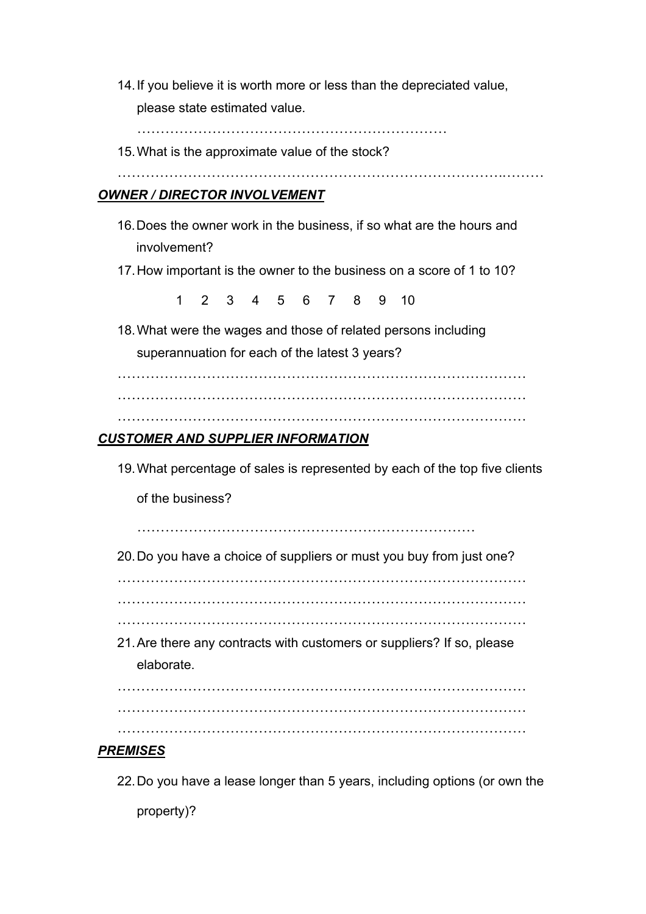14.If you believe it is worth more or less than the depreciated value, please state estimated value.

…………………………………………………………

15.What is the approximate value of the stock?

……………………………………………………………………….………

#### *OWNER / DIRECTOR INVOLVEMENT*

- 16.Does the owner work in the business, if so what are the hours and involvement?
- 17.How important is the owner to the business on a score of 1 to 10?

1 2 3 4 5 6 7 8 9 10

18.What were the wages and those of related persons including

superannuation for each of the latest 3 years?

……………………………………………………………………………

……………………………………………………………………………

……………………………………………………………………………

#### *CUSTOMER AND SUPPLIER INFORMATION*

19.What percentage of sales is represented by each of the top five clients

of the business?

………………………………………………………………

20.Do you have a choice of suppliers or must you buy from just one?

……………………………………………………………………………

…………………………………………………………………………… ……………………………………………………………………………

21.Are there any contracts with customers or suppliers? If so, please elaborate.

…………………………………………………………………………… …………………………………………………………………………… ……………………………………………………………………………

#### *PREMISES*

22.Do you have a lease longer than 5 years, including options (or own the property)?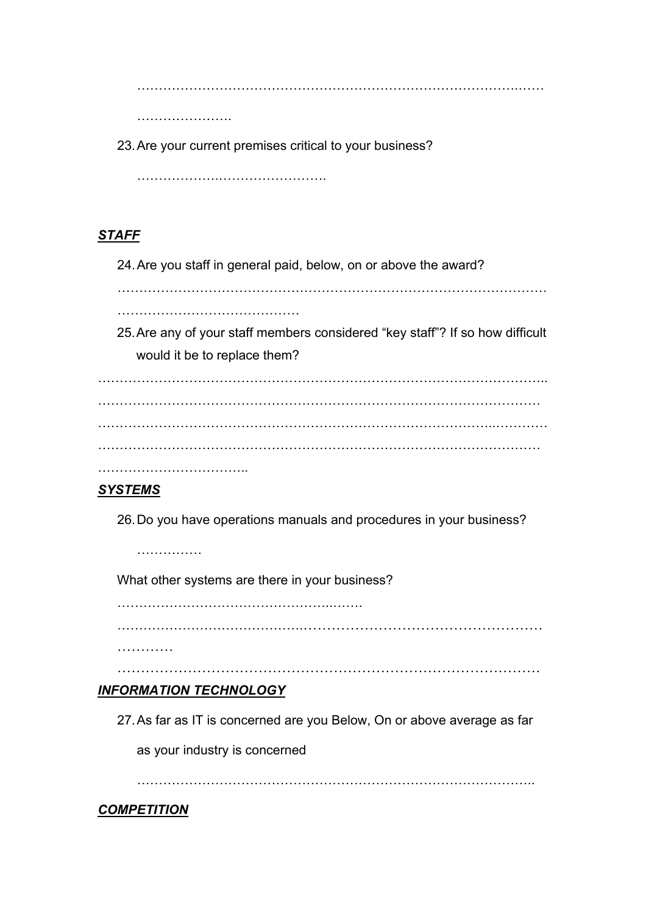…………………………………………………………………………….……

………………………

23.Are your current premises critical to your business?

……………….…………………….

# *STAFF*

24.Are you staff in general paid, below, on or above the award?

………………………………………………………………………………………

……………………………………

25.Are any of your staff members considered "key staff"? If so how difficult would it be to replace them?

…………………………………………………………………………………………..  $\mathcal{L}^{(n)}$ ………………………………………………………………………………..………… ………………………………………………………………………………………… ……………………………………

## *SYSTEMS*

26.Do you have operations manuals and procedures in your business?

……………

What other systems are there in your business?

…………………………………………..…….

…………………………………….……………………………………………

…………

………………………………………………………………………………

# *INFORMATION TECHNOLOGY*

27.As far as IT is concerned are you Below, On or above average as far

as your industry is concerned

………………………………………………………………………………..

# *COMPETITION*